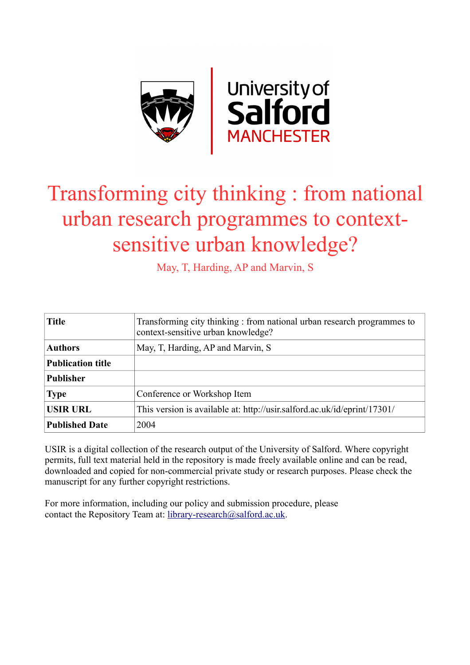

# Transforming city thinking : from national urban research programmes to contextsensitive urban knowledge?

May, T, Harding, AP and Marvin, S

| <b>Title</b>             | Transforming city thinking: from national urban research programmes to<br>context-sensitive urban knowledge? |
|--------------------------|--------------------------------------------------------------------------------------------------------------|
| <b>Authors</b>           | May, T, Harding, AP and Marvin, S                                                                            |
| <b>Publication title</b> |                                                                                                              |
| <b>Publisher</b>         |                                                                                                              |
| <b>Type</b>              | Conference or Workshop Item                                                                                  |
| <b>USIR URL</b>          | This version is available at: http://usir.salford.ac.uk/id/eprint/17301/                                     |
| <b>Published Date</b>    | 2004                                                                                                         |

USIR is a digital collection of the research output of the University of Salford. Where copyright permits, full text material held in the repository is made freely available online and can be read, downloaded and copied for non-commercial private study or research purposes. Please check the manuscript for any further copyright restrictions.

For more information, including our policy and submission procedure, please contact the Repository Team at: [library-research@salford.ac.uk.](mailto:library-research@salford.ac.uk)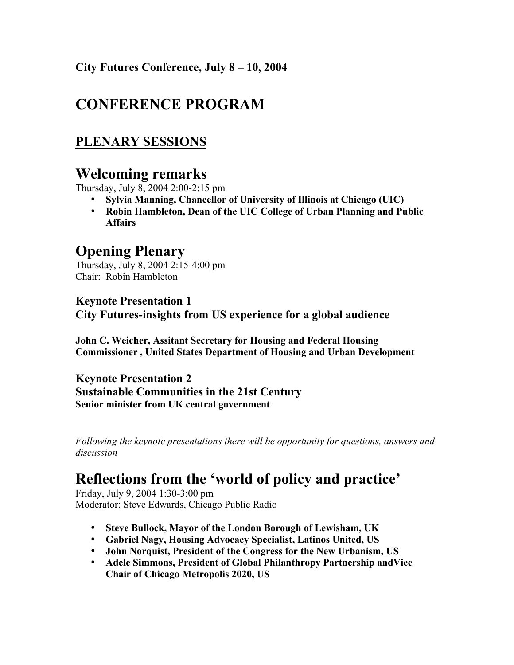City Futures Conference, July 8 – 10, 2004

# CONFERENCE PROGRAM

## PLENARY SESSIONS

# Welcoming remarks

Thursday, July 8, 2004 2:00-2:15 pm

- Sylvia Manning, Chancellor of University of Illinois at Chicago (UIC)
- Robin Hambleton, Dean of the UIC College of Urban Planning and Public Affairs

# Opening Plenary

Thursday, July 8, 2004 2:15-4:00 pm Chair: Robin Hambleton

### Keynote Presentation 1 City Futures-insights from US experience for a global audience

John C. Weicher, Assitant Secretary for Housing and Federal Housing Commissioner , United States Department of Housing and Urban Development

Keynote Presentation 2 Sustainable Communities in the 21st Century Senior minister from UK central government

*Following the keynote presentations there will be opportunity for questions, answers and discussion*

# Reflections from the 'world of policy and practice'

Friday, July 9, 2004 1:30-3:00 pm Moderator: Steve Edwards, Chicago Public Radio

- Steve Bullock, Mayor of the London Borough of Lewisham, UK
- Gabriel Nagy, Housing Advocacy Specialist, Latinos United, US
- John Norquist, President of the Congress for the New Urbanism, US
- Adele Simmons, President of Global Philanthropy Partnership andVice Chair of Chicago Metropolis 2020, US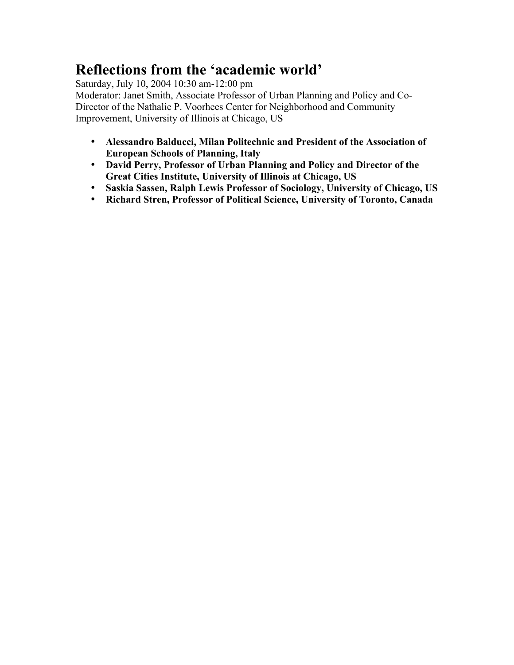# Reflections from the 'academic world'

Saturday, July 10, 2004 10:30 am-12:00 pm Moderator: Janet Smith, Associate Professor of Urban Planning and Policy and Co-Director of the Nathalie P. Voorhees Center for Neighborhood and Community Improvement, University of Illinois at Chicago, US

- Alessandro Balducci, Milan Politechnic and President of the Association of European Schools of Planning, Italy
- David Perry, Professor of Urban Planning and Policy and Director of the Great Cities Institute, University of Illinois at Chicago, US
- Saskia Sassen, Ralph Lewis Professor of Sociology, University of Chicago, US
- Richard Stren, Professor of Political Science, University of Toronto, Canada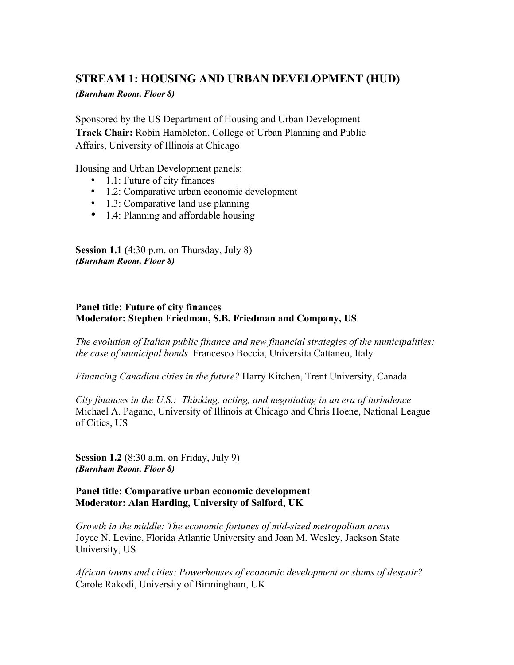### STREAM 1: HOUSING AND URBAN DEVELOPMENT (HUD)

*(Burnham Room, Floor 8)*

Sponsored by the US Department of Housing and Urban Development Track Chair: Robin Hambleton, College of Urban Planning and Public Affairs, University of Illinois at Chicago

Housing and Urban Development panels:

- 1.1: Future of city finances
- 1.2: Comparative urban economic development
- 1.3: Comparative land use planning
- 1.4: Planning and affordable housing

Session 1.1 (4:30 p.m. on Thursday, July 8) *(Burnham Room, Floor 8)*

### Panel title: Future of city finances Moderator: Stephen Friedman, S.B. Friedman and Company, US

*The evolution of Italian public finance and new financial strategies of the municipalities: the case of municipal bonds* Francesco Boccia, Universita Cattaneo, Italy

*Financing Canadian cities in the future?* Harry Kitchen, Trent University, Canada

*City finances in the U.S.: Thinking, acting, and negotiating in an era of turbulence* Michael A. Pagano, University of Illinois at Chicago and Chris Hoene, National League of Cities, US

Session 1.2 (8:30 a.m. on Friday, July 9) *(Burnham Room, Floor 8)*

### Panel title: Comparative urban economic development Moderator: Alan Harding, University of Salford, UK

*Growth in the middle: The economic fortunes of mid-sized metropolitan areas* Joyce N. Levine, Florida Atlantic University and Joan M. Wesley, Jackson State University, US

*African towns and cities: Powerhouses of economic development or slums of despair?* Carole Rakodi, University of Birmingham, UK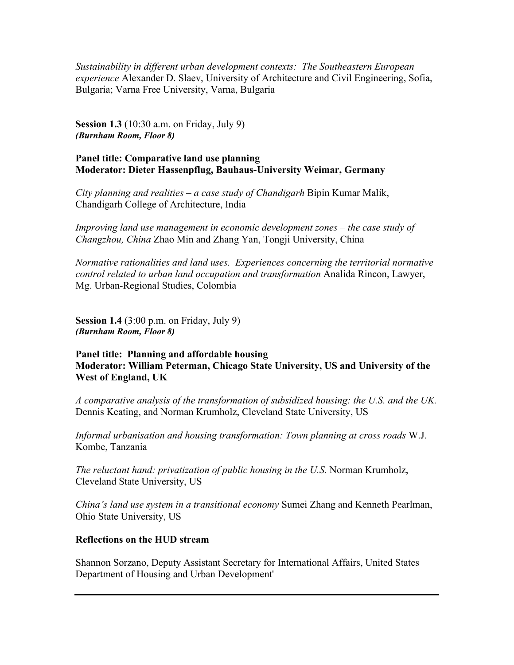*Sustainability in different urban development contexts: The Southeastern European experience* Alexander D. Slaev, University of Architecture and Civil Engineering, Sofia, Bulgaria; Varna Free University, Varna, Bulgaria

Session 1.3 (10:30 a.m. on Friday, July 9) *(Burnham Room, Floor 8)*

### Panel title: Comparative land use planning Moderator: Dieter Hassenpflug, Bauhaus-University Weimar, Germany

*City planning and realities – a case study of Chandigarh* Bipin Kumar Malik, Chandigarh College of Architecture, India

*Improving land use management in economic development zones – the case study of Changzhou, China* Zhao Min and Zhang Yan, Tongji University, China

*Normative rationalities and land uses. Experiences concerning the territorial normative control related to urban land occupation and transformation* Analida Rincon, Lawyer, Mg. Urban-Regional Studies, Colombia

**Session 1.4** (3:00 p.m. on Friday, July 9) *(Burnham Room, Floor 8)*

### Panel title: Planning and affordable housing Moderator: William Peterman, Chicago State University, US and University of the West of England, UK

*A comparative analysis of the transformation of subsidized housing: the U.S. and the UK.* Dennis Keating, and Norman Krumholz, Cleveland State University, US

*Informal urbanisation and housing transformation: Town planning at cross roads* W.J. Kombe, Tanzania

*The reluctant hand: privatization of public housing in the U.S. Norman Krumholz,* Cleveland State University, US

*China's land use system in a transitional economy* Sumei Zhang and Kenneth Pearlman, Ohio State University, US

### Reflections on the HUD stream

Shannon Sorzano, Deputy Assistant Secretary for International Affairs, United States Department of Housing and Urban Development'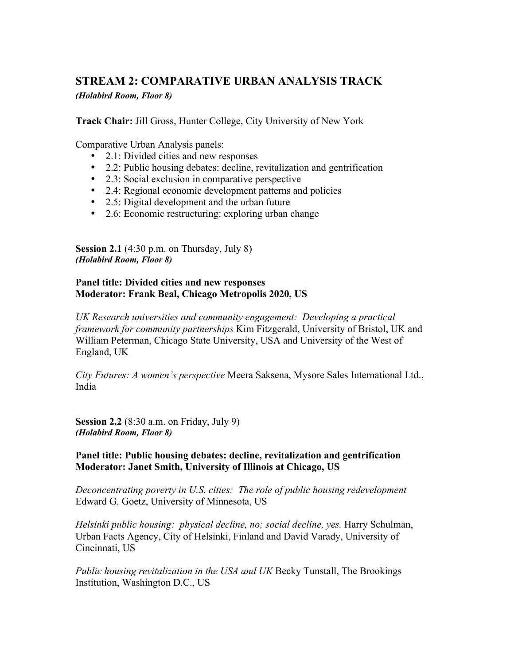### STREAM 2: COMPARATIVE URBAN ANALYSIS TRACK *(Holabird Room, Floor 8)*

Track Chair: Jill Gross, Hunter College, City University of New York

Comparative Urban Analysis panels:

- 2.1: Divided cities and new responses
- 2.2: Public housing debates: decline, revitalization and gentrification
- 2.3: Social exclusion in comparative perspective
- 2.4: Regional economic development patterns and policies
- 2.5: Digital development and the urban future
- 2.6: Economic restructuring: exploring urban change

Session 2.1 (4:30 p.m. on Thursday, July 8) *(Holabird Room, Floor 8)*

### Panel title: Divided cities and new responses Moderator: Frank Beal, Chicago Metropolis 2020, US

*UK Research universities and community engagement: Developing a practical framework for community partnerships* Kim Fitzgerald, University of Bristol, UK and William Peterman, Chicago State University, USA and University of the West of England, UK

*City Futures: A women's perspective* Meera Saksena, Mysore Sales International Ltd., India

Session 2.2 (8:30 a.m. on Friday, July 9) *(Holabird Room, Floor 8)*

Panel title: Public housing debates: decline, revitalization and gentrification Moderator: Janet Smith, University of Illinois at Chicago, US

*Deconcentrating poverty in U.S. cities: The role of public housing redevelopment* Edward G. Goetz, University of Minnesota, US

*Helsinki public housing: physical decline, no; social decline, yes.* Harry Schulman, Urban Facts Agency, City of Helsinki, Finland and David Varady, University of Cincinnati, US

*Public housing revitalization in the USA and UK* Becky Tunstall, The Brookings Institution, Washington D.C., US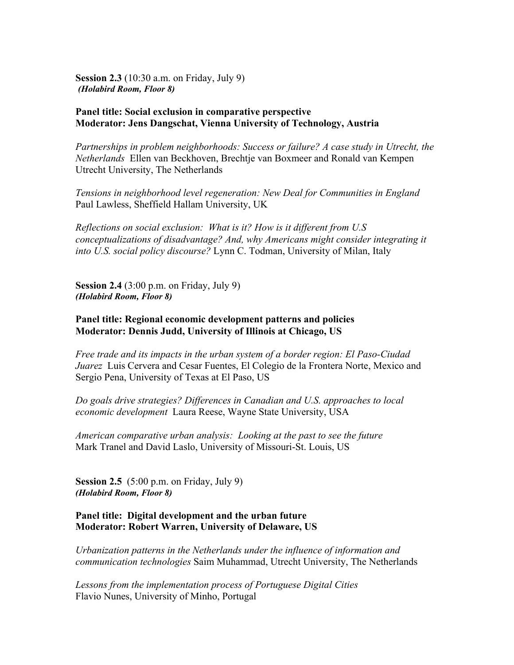Session 2.3 (10:30 a.m. on Friday, July 9) *(Holabird Room, Floor 8)*

### Panel title: Social exclusion in comparative perspective Moderator: Jens Dangschat, Vienna University of Technology, Austria

*Partnerships in problem neighborhoods: Success or failure? A case study in Utrecht, the Netherlands* Ellen van Beckhoven, Brechtje van Boxmeer and Ronald van Kempen Utrecht University, The Netherlands

*Tensions in neighborhood level regeneration: New Deal for Communities in England* Paul Lawless, Sheffield Hallam University, UK

*Reflections on social exclusion: What is it? How is it different from U.S conceptualizations of disadvantage? And, why Americans might consider integrating it into U.S. social policy discourse?* Lynn C. Todman, University of Milan, Italy

**Session 2.4** (3:00 p.m. on Friday, July 9) *(Holabird Room, Floor 8)*

### Panel title: Regional economic development patterns and policies Moderator: Dennis Judd, University of Illinois at Chicago, US

*Free trade and its impacts in the urban system of a border region: El Paso-Ciudad Juarez* Luis Cervera and Cesar Fuentes, El Colegio de la Frontera Norte, Mexico and Sergio Pena, University of Texas at El Paso, US

*Do goals drive strategies? Differences in Canadian and U.S. approaches to local economic development* Laura Reese, Wayne State University, USA

*American comparative urban analysis: Looking at the past to see the future* Mark Tranel and David Laslo, University of Missouri-St. Louis, US

**Session 2.5** (5:00 p.m. on Friday, July 9) *(Holabird Room, Floor 8)*

### Panel title: Digital development and the urban future Moderator: Robert Warren, University of Delaware, US

*Urbanization patterns in the Netherlands under the influence of information and communication technologies* Saim Muhammad, Utrecht University, The Netherlands

*Lessons from the implementation process of Portuguese Digital Cities* Flavio Nunes, University of Minho, Portugal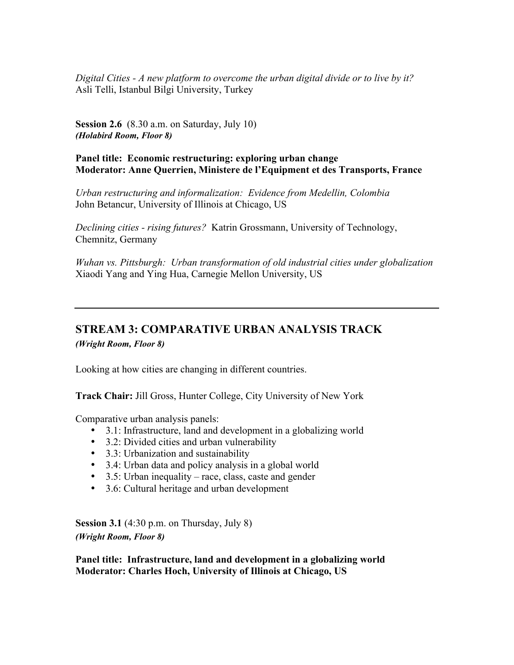*Digital Cities - A new platform to overcome the urban digital divide or to live by it?* Asli Telli, Istanbul Bilgi University, Turkey

Session 2.6 (8.30 a.m. on Saturday, July 10) *(Holabird Room, Floor 8)*

Panel title: Economic restructuring: exploring urban change Moderator: Anne Querrien, Ministere de l'Equipment et des Transports, France

*Urban restructuring and informalization: Evidence from Medellin, Colombia* John Betancur, University of Illinois at Chicago, US

*Declining cities - rising futures?* Katrin Grossmann, University of Technology, Chemnitz, Germany

*Wuhan vs. Pittsburgh: Urban transformation of old industrial cities under globalization* Xiaodi Yang and Ying Hua, Carnegie Mellon University, US

# STREAM 3: COMPARATIVE URBAN ANALYSIS TRACK

*(Wright Room, Floor 8)*

Looking at how cities are changing in different countries.

Track Chair: Jill Gross, Hunter College, City University of New York

Comparative urban analysis panels:

- 3.1: Infrastructure, land and development in a globalizing world
- 3.2: Divided cities and urban vulnerability
- 3.3: Urbanization and sustainability
- 3.4: Urban data and policy analysis in a global world
- 3.5: Urban inequality race, class, caste and gender
- 3.6: Cultural heritage and urban development

Session 3.1 (4:30 p.m. on Thursday, July 8) *(Wright Room, Floor 8)*

Panel title: Infrastructure, land and development in a globalizing world Moderator: Charles Hoch, University of Illinois at Chicago, US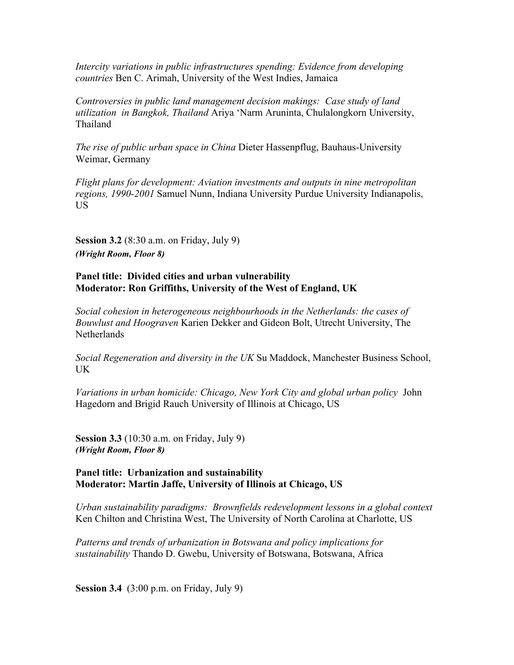*Intercity variations in public infrastructures spending: Evidence from developing countries* Ben C. Arimah, University of the West Indies, Jamaica

*Controversies in public land management decision makings: Case study of land utilization in Bangkok, Thailand* Ariya 'Narm Aruninta, Chulalongkorn University, Thailand

*The rise of public urban space in China* Dieter Hassenpflug, Bauhaus-University Weimar, Germany

*Flight plans for development: Aviation investments and outputs in nine metropolitan regions, 1990-2001* Samuel Nunn, Indiana University Purdue University Indianapolis, US

Session 3.2 (8:30 a.m. on Friday, July 9) *(Wright Room, Floor 8)*

### Panel title: Divided cities and urban vulnerability Moderator: Ron Griffiths, University of the West of England, UK

*Social cohesion in heterogeneous neighbourhoods in the Netherlands: the cases of Bouwlust and Hoograven* Karien Dekker and Gideon Bolt, Utrecht University, The Netherlands

*Social Regeneration and diversity in the UK* Su Maddock, Manchester Business School, UK

*Variations in urban homicide: Chicago, New York City and global urban policy* John Hagedorn and Brigid Rauch University of Illinois at Chicago, US

Session 3.3 (10:30 a.m. on Friday, July 9) *(Wright Room, Floor 8)*

#### Panel title: Urbanization and sustainability Moderator: Martin Jaffe, University of Illinois at Chicago, US

*Urban sustainability paradigms: Brownfields redevelopment lessons in a global context* Ken Chilton and Christina West, The University of North Carolina at Charlotte, US

*Patterns and trends of urbanization in Botswana and policy implications for sustainability* Thando D. Gwebu, University of Botswana, Botswana, Africa

Session 3.4 (3:00 p.m. on Friday, July 9)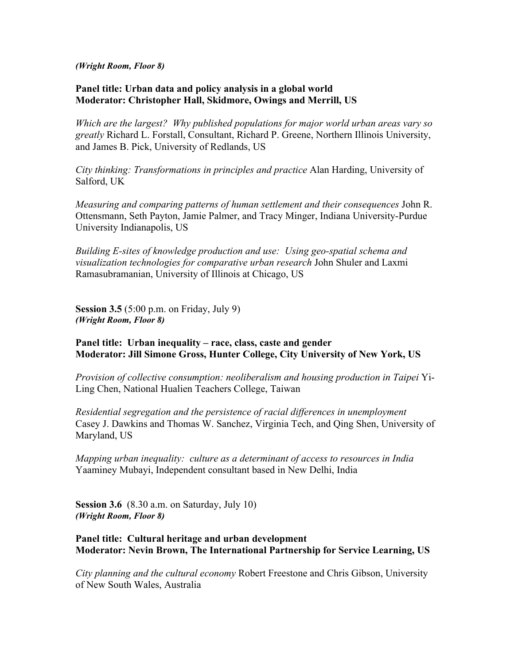*(Wright Room, Floor 8)*

### Panel title: Urban data and policy analysis in a global world Moderator: Christopher Hall, Skidmore, Owings and Merrill, US

*Which are the largest? Why published populations for major world urban areas vary so greatly* Richard L. Forstall, Consultant, Richard P. Greene, Northern Illinois University, and James B. Pick, University of Redlands, US

*City thinking: Transformations in principles and practice* Alan Harding, University of Salford, UK

*Measuring and comparing patterns of human settlement and their consequences* John R. Ottensmann, Seth Payton, Jamie Palmer, and Tracy Minger, Indiana University-Purdue University Indianapolis, US

*Building E-sites of knowledge production and use: Using geo-spatial schema and visualization technologies for comparative urban research* John Shuler and Laxmi Ramasubramanian, University of Illinois at Chicago, US

Session 3.5 (5:00 p.m. on Friday, July 9) *(Wright Room, Floor 8)*

### Panel title: Urban inequality – race, class, caste and gender Moderator: Jill Simone Gross, Hunter College, City University of New York, US

*Provision of collective consumption: neoliberalism and housing production in Taipei* Yi-Ling Chen, National Hualien Teachers College, Taiwan

*Residential segregation and the persistence of racial differences in unemployment* Casey J. Dawkins and Thomas W. Sanchez, Virginia Tech, and Qing Shen, University of Maryland, US

*Mapping urban inequality: culture as a determinant of access to resources in India* Yaaminey Mubayi, Independent consultant based in New Delhi, India

Session 3.6 (8.30 a.m. on Saturday, July 10) *(Wright Room, Floor 8)*

### Panel title: Cultural heritage and urban development Moderator: Nevin Brown, The International Partnership for Service Learning, US

*City planning and the cultural economy* Robert Freestone and Chris Gibson, University of New South Wales, Australia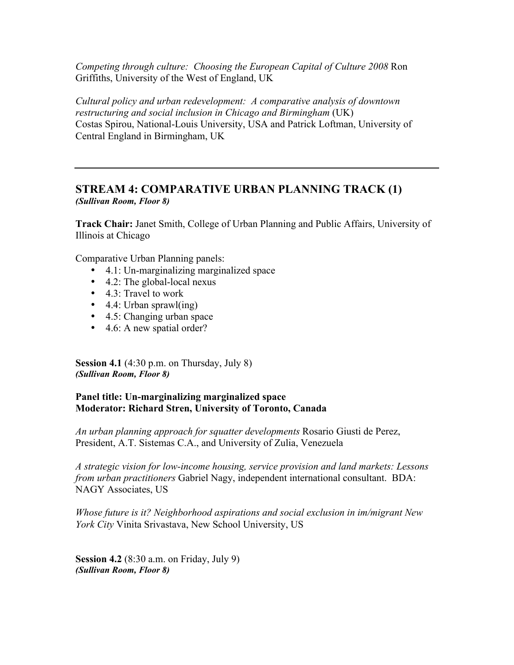*Competing through culture: Choosing the European Capital of Culture 2008* Ron Griffiths, University of the West of England, UK

*Cultural policy and urban redevelopment: A comparative analysis of downtown restructuring and social inclusion in Chicago and Birmingham* (UK) Costas Spirou, National-Louis University, USA and Patrick Loftman, University of Central England in Birmingham, UK

### STREAM 4: COMPARATIVE URBAN PLANNING TRACK (1) *(Sullivan Room, Floor 8)*

Track Chair: Janet Smith, College of Urban Planning and Public Affairs, University of Illinois at Chicago

Comparative Urban Planning panels:

- 4.1: Un-marginalizing marginalized space
- 4.2: The global-local nexus
- 4.3: Travel to work
- 4.4: Urban sprawl(ing)
- 4.5: Changing urban space
- 4.6: A new spatial order?

Session 4.1 (4:30 p.m. on Thursday, July 8) *(Sullivan Room, Floor 8)*

### Panel title: Un-marginalizing marginalized space Moderator: Richard Stren, University of Toronto, Canada

*An urban planning approach for squatter developments* Rosario Giusti de Perez, President, A.T. Sistemas C.A., and University of Zulia, Venezuela

*A strategic vision for low-income housing, service provision and land markets: Lessons from urban practitioners* Gabriel Nagy, independent international consultant. BDA: NAGY Associates, US

*Whose future is it? Neighborhood aspirations and social exclusion in im/migrant New York City* Vinita Srivastava, New School University, US

Session 4.2 (8:30 a.m. on Friday, July 9) *(Sullivan Room, Floor 8)*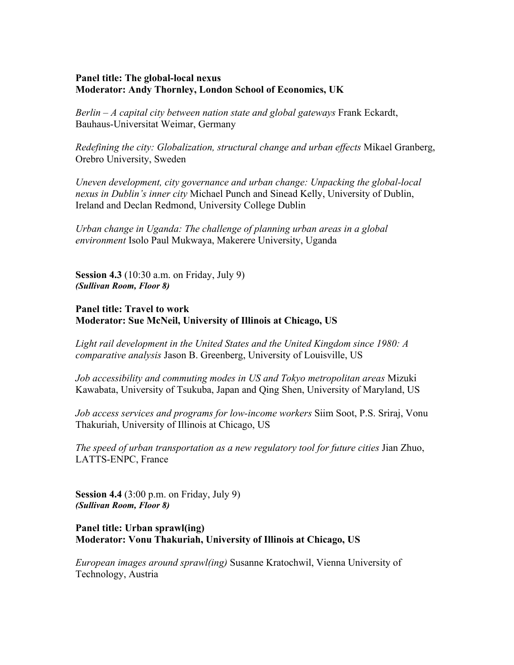### Panel title: The global-local nexus Moderator: Andy Thornley, London School of Economics, UK

*Berlin – A capital city between nation state and global gateways* Frank Eckardt, Bauhaus-Universitat Weimar, Germany

*Redefining the city: Globalization, structural change and urban effects* Mikael Granberg, Orebro University, Sweden

*Uneven development, city governance and urban change: Unpacking the global-local nexus in Dublin's inner city* Michael Punch and Sinead Kelly, University of Dublin, Ireland and Declan Redmond, University College Dublin

*Urban change in Uganda: The challenge of planning urban areas in a global environment* Isolo Paul Mukwaya, Makerere University, Uganda

Session 4.3 (10:30 a.m. on Friday, July 9) *(Sullivan Room, Floor 8)*

### Panel title: Travel to work Moderator: Sue McNeil, University of Illinois at Chicago, US

*Light rail development in the United States and the United Kingdom since 1980: A comparative analysis* Jason B. Greenberg, University of Louisville, US

*Job accessibility and commuting modes in US and Tokyo metropolitan areas* Mizuki Kawabata, University of Tsukuba, Japan and Qing Shen, University of Maryland, US

*Job access services and programs for low-income workers* Siim Soot, P.S. Sriraj, Vonu Thakuriah, University of Illinois at Chicago, US

*The speed of urban transportation as a new regulatory tool for future cities* Jian Zhuo, LATTS-ENPC, France

Session 4.4 (3:00 p.m. on Friday, July 9) *(Sullivan Room, Floor 8)*

### Panel title: Urban sprawl(ing) Moderator: Vonu Thakuriah, University of Illinois at Chicago, US

*European images around sprawl(ing)* Susanne Kratochwil, Vienna University of Technology, Austria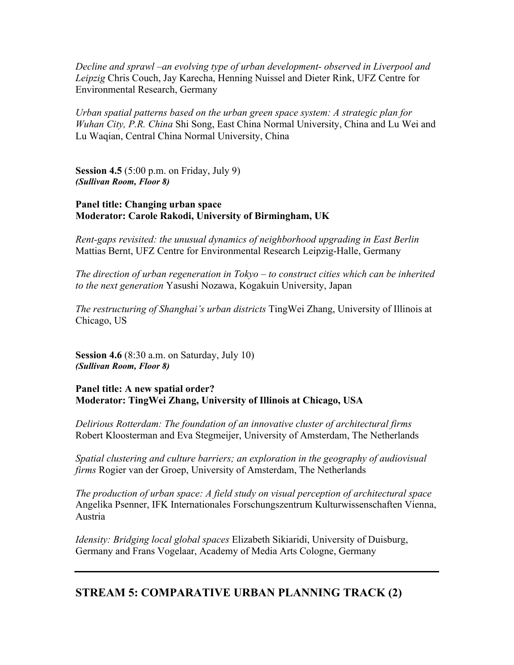*Decline and sprawl –an evolving type of urban development- observed in Liverpool and Leipzig* Chris Couch, Jay Karecha, Henning Nuissel and Dieter Rink, UFZ Centre for Environmental Research, Germany

*Urban spatial patterns based on the urban green space system: A strategic plan for Wuhan City, P.R. China* Shi Song, East China Normal University, China and Lu Wei and Lu Waqian, Central China Normal University, China

Session 4.5 (5:00 p.m. on Friday, July 9) *(Sullivan Room, Floor 8)*

### Panel title: Changing urban space Moderator: Carole Rakodi, University of Birmingham, UK

*Rent-gaps revisited: the unusual dynamics of neighborhood upgrading in East Berlin* Mattias Bernt, UFZ Centre for Environmental Research Leipzig-Halle, Germany

*The direction of urban regeneration in Tokyo – to construct cities which can be inherited to the next generation* Yasushi Nozawa, Kogakuin University, Japan

*The restructuring of Shanghai's urban districts* TingWei Zhang, University of Illinois at Chicago, US

Session 4.6 (8:30 a.m. on Saturday, July 10) *(Sullivan Room, Floor 8)*

Panel title: A new spatial order? Moderator: TingWei Zhang, University of Illinois at Chicago, USA

*Delirious Rotterdam: The foundation of an innovative cluster of architectural firms* Robert Kloosterman and Eva Stegmeijer, University of Amsterdam, The Netherlands

*Spatial clustering and culture barriers; an exploration in the geography of audiovisual firms* Rogier van der Groep, University of Amsterdam, The Netherlands

*The production of urban space: A field study on visual perception of architectural space* Angelika Psenner, IFK Internationales Forschungszentrum Kulturwissenschaften Vienna, Austria

*Idensity: Bridging local global spaces* Elizabeth Sikiaridi, University of Duisburg, Germany and Frans Vogelaar, Academy of Media Arts Cologne, Germany

### STREAM 5: COMPARATIVE URBAN PLANNING TRACK (2)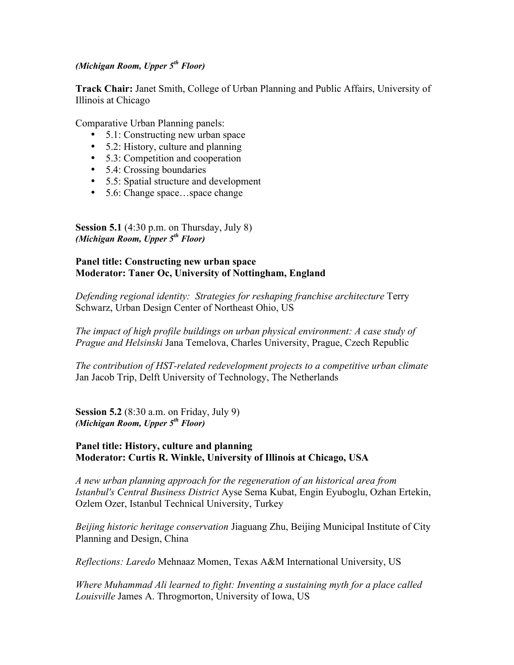### *(Michigan Room, Upper 5th Floor)*

Track Chair: Janet Smith, College of Urban Planning and Public Affairs, University of Illinois at Chicago

Comparative Urban Planning panels:

- 5.1: Constructing new urban space
- 5.2: History, culture and planning
- 5.3: Competition and cooperation
- 5.4: Crossing boundaries
- 5.5: Spatial structure and development
- 5.6: Change space...space change

Session 5.1 (4:30 p.m. on Thursday, July 8) *(Michigan Room, Upper 5th Floor)*

### Panel title: Constructing new urban space Moderator: Taner Oc, University of Nottingham, England

*Defending regional identity: Strategies for reshaping franchise architecture* Terry Schwarz, Urban Design Center of Northeast Ohio, US

*The impact of high profile buildings on urban physical environment: A case study of Prague and Helsinski* Jana Temelova, Charles University, Prague, Czech Republic

*The contribution of HST-related redevelopment projects to a competitive urban climate* Jan Jacob Trip, Delft University of Technology, The Netherlands

Session 5.2 (8:30 a.m. on Friday, July 9) *(Michigan Room, Upper 5th Floor)*

### Panel title: History, culture and planning Moderator: Curtis R. Winkle, University of Illinois at Chicago, USA

*A new urban planning approach for the regeneration of an historical area from Istanbul's Central Business District* Ayse Sema Kubat, Engin Eyuboglu, Ozhan Ertekin, Ozlem Ozer, Istanbul Technical University, Turkey

*Beijing historic heritage conservation* Jiaguang Zhu, Beijing Municipal Institute of City Planning and Design, China

*Reflections: Laredo* Mehnaaz Momen, Texas A&M International University, US

*Where Muhammad Ali learned to fight: Inventing a sustaining myth for a place called Louisville* James A. Throgmorton, University of Iowa, US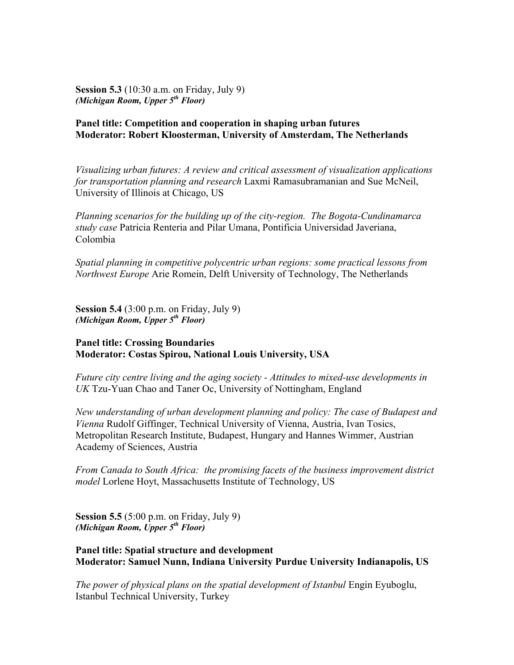Session 5.3 (10:30 a.m. on Friday, July 9) *(Michigan Room, Upper 5th Floor)*

### Panel title: Competition and cooperation in shaping urban futures Moderator: Robert Kloosterman, University of Amsterdam, The Netherlands

*Visualizing urban futures: A review and critical assessment of visualization applications for transportation planning and research* Laxmi Ramasubramanian and Sue McNeil, University of Illinois at Chicago, US

*Planning scenarios for the building up of the city-region. The Bogota-Cundinamarca study case* Patricia Renteria and Pilar Umana, Pontificia Universidad Javeriana, Colombia

*Spatial planning in competitive polycentric urban regions: some practical lessons from Northwest Europe* Arie Romein, Delft University of Technology, The Netherlands

Session 5.4 (3:00 p.m. on Friday, July 9) *(Michigan Room, Upper 5th Floor)*

### Panel title: Crossing Boundaries Moderator: Costas Spirou, National Louis University, USA

*Future city centre living and the aging society - Attitudes to mixed-use developments in UK* Tzu-Yuan Chao and Taner Oc, University of Nottingham, England

*New understanding of urban development planning and policy: The case of Budapest and Vienna* Rudolf Giffinger, Technical University of Vienna, Austria, Ivan Tosics, Metropolitan Research Institute, Budapest, Hungary and Hannes Wimmer, Austrian Academy of Sciences, Austria

*From Canada to South Africa: the promising facets of the business improvement district model* Lorlene Hoyt, Massachusetts Institute of Technology, US

Session 5.5 (5:00 p.m. on Friday, July 9) *(Michigan Room, Upper 5th Floor)*

Panel title: Spatial structure and development Moderator: Samuel Nunn, Indiana University Purdue University Indianapolis, US

*The power of physical plans on the spatial development of Istanbul* Engin Eyuboglu, Istanbul Technical University, Turkey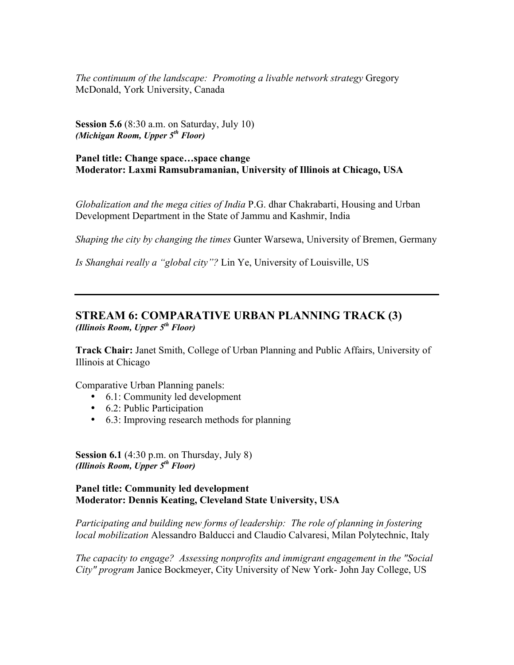*The continuum of the landscape: Promoting a livable network strategy* Gregory McDonald, York University, Canada

Session 5.6 (8:30 a.m. on Saturday, July 10) *(Michigan Room, Upper 5th Floor)*

### Panel title: Change space…space change Moderator: Laxmi Ramsubramanian, University of Illinois at Chicago, USA

*Globalization and the mega cities of India* P.G. dhar Chakrabarti, Housing and Urban Development Department in the State of Jammu and Kashmir, India

*Shaping the city by changing the times* Gunter Warsewa, University of Bremen, Germany

*Is Shanghai really a "global city"?* Lin Ye, University of Louisville, US

### STREAM 6: COMPARATIVE URBAN PLANNING TRACK (3) *(Illinois Room, Upper 5th Floor)*

Track Chair: Janet Smith, College of Urban Planning and Public Affairs, University of Illinois at Chicago

Comparative Urban Planning panels:

- 6.1: Community led development
- 6.2: Public Participation
- 6.3: Improving research methods for planning

Session 6.1 (4:30 p.m. on Thursday, July 8) *(Illinois Room, Upper 5th Floor)*

### Panel title: Community led development Moderator: Dennis Keating, Cleveland State University, USA

*Participating and building new forms of leadership: The role of planning in fostering local mobilization* Alessandro Balducci and Claudio Calvaresi, Milan Polytechnic, Italy

*The capacity to engage? Assessing nonprofits and immigrant engagement in the "Social City" program* Janice Bockmeyer, City University of New York- John Jay College, US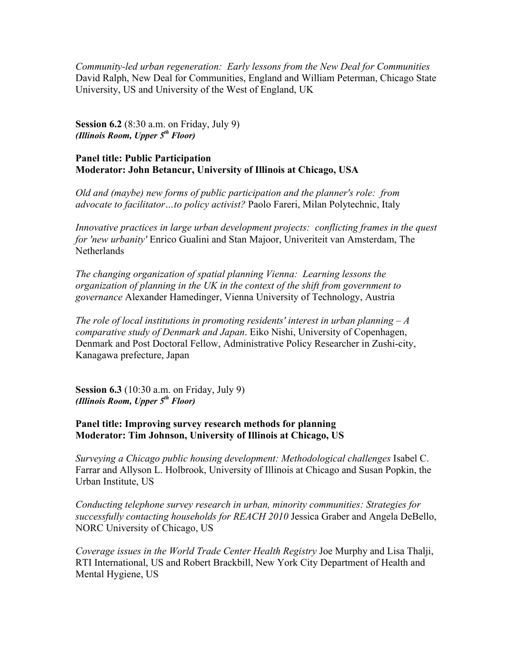*Community-led urban regeneration: Early lessons from the New Deal for Communities* David Ralph, New Deal for Communities, England and William Peterman, Chicago State University, US and University of the West of England, UK

Session 6.2 (8:30 a.m. on Friday, July 9) *(Illinois Room, Upper 5th Floor)*

### Panel title: Public Participation Moderator: John Betancur, University of Illinois at Chicago, USA

*Old and (maybe) new forms of public participation and the planner's role: from advocate to facilitator…to policy activist?* Paolo Fareri, Milan Polytechnic, Italy

*Innovative practices in large urban development projects: conflicting frames in the quest for 'new urbanity'* Enrico Gualini and Stan Majoor, Univeriteit van Amsterdam, The **Netherlands** 

*The changing organization of spatial planning Vienna: Learning lessons the organization of planning in the UK in the context of the shift from government to governance* Alexander Hamedinger, Vienna University of Technology, Austria

*The role of local institutions in promoting residents' interest in urban planning – A comparative study of Denmark and Japan*. Eiko Nishi, University of Copenhagen, Denmark and Post Doctoral Fellow, Administrative Policy Researcher in Zushi-city, Kanagawa prefecture, Japan

Session 6.3 (10:30 a.m. on Friday, July 9) *(Illinois Room, Upper 5th Floor)*

### Panel title: Improving survey research methods for planning Moderator: Tim Johnson, University of Illinois at Chicago, US

*Surveying a Chicago public housing development: Methodological challenges* Isabel C. Farrar and Allyson L. Holbrook, University of Illinois at Chicago and Susan Popkin, the Urban Institute, US

*Conducting telephone survey research in urban, minority communities: Strategies for successfully contacting households for REACH 2010* Jessica Graber and Angela DeBello, NORC University of Chicago, US

*Coverage issues in the World Trade Center Health Registry* Joe Murphy and Lisa Thalji, RTI International, US and Robert Brackbill, New York City Department of Health and Mental Hygiene, US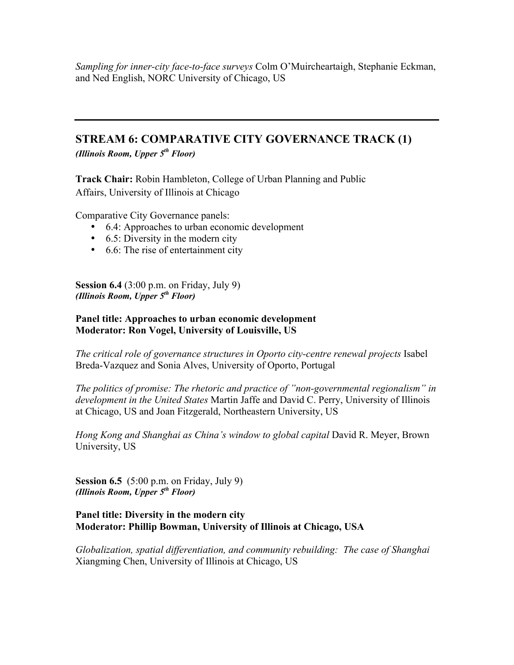*Sampling for inner-city face-to-face surveys* Colm O'Muircheartaigh, Stephanie Eckman, and Ned English, NORC University of Chicago, US

### STREAM 6: COMPARATIVE CITY GOVERNANCE TRACK (1)

*(Illinois Room, Upper 5th Floor)*

Track Chair: Robin Hambleton, College of Urban Planning and Public Affairs, University of Illinois at Chicago

Comparative City Governance panels:

- 6.4: Approaches to urban economic development
- 6.5: Diversity in the modern city
- 6.6: The rise of entertainment city

Session 6.4 (3:00 p.m. on Friday, July 9) *(Illinois Room, Upper 5th Floor)*

### Panel title: Approaches to urban economic development Moderator: Ron Vogel, University of Louisville, US

*The critical role of governance structures in Oporto city-centre renewal projects* Isabel Breda-Vazquez and Sonia Alves, University of Oporto, Portugal

*The politics of promise: The rhetoric and practice of "non-governmental regionalism" in development in the United States* Martin Jaffe and David C. Perry, University of Illinois at Chicago, US and Joan Fitzgerald, Northeastern University, US

*Hong Kong and Shanghai as China's window to global capital* David R. Meyer, Brown University, US

Session 6.5  $(5:00 \text{ p.m.} \text{ on Friday}, \text{July } 9)$ *(Illinois Room, Upper 5th Floor)*

### Panel title: Diversity in the modern city Moderator: Phillip Bowman, University of Illinois at Chicago, USA

*Globalization, spatial differentiation, and community rebuilding: The case of Shanghai* Xiangming Chen, University of Illinois at Chicago, US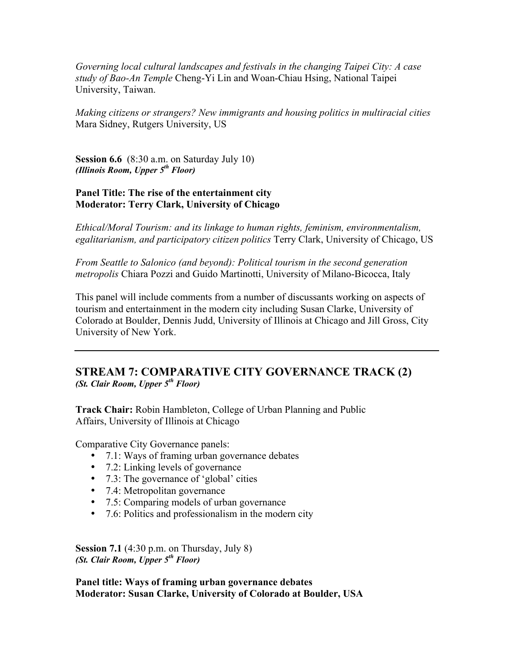*Governing local cultural landscapes and festivals in the changing Taipei City: A case study of Bao-An Temple* Cheng-Yi Lin and Woan-Chiau Hsing, National Taipei University, Taiwan.

*Making citizens or strangers? New immigrants and housing politics in multiracial cities* Mara Sidney, Rutgers University, US

Session 6.6 (8:30 a.m. on Saturday July 10) *(Illinois Room, Upper 5th Floor)*

### Panel Title: The rise of the entertainment city Moderator: Terry Clark, University of Chicago

*Ethical/Moral Tourism: and its linkage to human rights, feminism, environmentalism, egalitarianism, and participatory citizen politics* Terry Clark, University of Chicago, US

*From Seattle to Salonico (and beyond): Political tourism in the second generation metropolis* Chiara Pozzi and Guido Martinotti, University of Milano-Bicocca, Italy

This panel will include comments from a number of discussants working on aspects of tourism and entertainment in the modern city including Susan Clarke, University of Colorado at Boulder, Dennis Judd, University of Illinois at Chicago and Jill Gross, City University of New York.

### STREAM 7: COMPARATIVE CITY GOVERNANCE TRACK (2) *(St. Clair Room, Upper 5th Floor)*

Track Chair: Robin Hambleton, College of Urban Planning and Public Affairs, University of Illinois at Chicago

Comparative City Governance panels:

- 7.1: Ways of framing urban governance debates
- 7.2: Linking levels of governance
- 7.3: The governance of 'global' cities
- 7.4: Metropolitan governance
- 7.5: Comparing models of urban governance
- 7.6: Politics and professionalism in the modern city

Session 7.1 (4:30 p.m. on Thursday, July 8) *(St. Clair Room, Upper 5th Floor)*

Panel title: Ways of framing urban governance debates Moderator: Susan Clarke, University of Colorado at Boulder, USA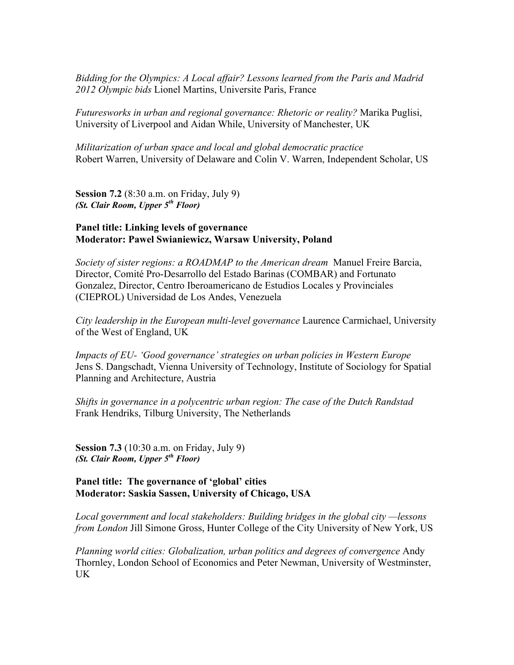*Bidding for the Olympics: A Local affair? Lessons learned from the Paris and Madrid 2012 Olympic bids* Lionel Martins, Universite Paris, France

*Futuresworks in urban and regional governance: Rhetoric or reality?* Marika Puglisi, University of Liverpool and Aidan While, University of Manchester, UK

*Militarization of urban space and local and global democratic practice* Robert Warren, University of Delaware and Colin V. Warren, Independent Scholar, US

Session 7.2 (8:30 a.m. on Friday, July 9) *(St. Clair Room, Upper 5th Floor)*

### Panel title: Linking levels of governance Moderator: Pawel Swianiewicz, Warsaw University, Poland

*Society of sister regions: a ROADMAP to the American dream* Manuel Freire Barcia, Director, Comité Pro-Desarrollo del Estado Barinas (COMBAR) and Fortunato Gonzalez, Director, Centro Iberoamericano de Estudios Locales y Provinciales (CIEPROL) Universidad de Los Andes, Venezuela

*City leadership in the European multi-level governance* Laurence Carmichael, University of the West of England, UK

*Impacts of EU- 'Good governance' strategies on urban policies in Western Europe* Jens S. Dangschadt, Vienna University of Technology, Institute of Sociology for Spatial Planning and Architecture, Austria

*Shifts in governance in a polycentric urban region: The case of the Dutch Randstad* Frank Hendriks, Tilburg University, The Netherlands

Session 7.3 (10:30 a.m. on Friday, July 9) *(St. Clair Room, Upper 5th Floor)*

### Panel title: The governance of 'global' cities Moderator: Saskia Sassen, University of Chicago, USA

*Local government and local stakeholders: Building bridges in the global city —lessons from London* Jill Simone Gross, Hunter College of the City University of New York, US

*Planning world cities: Globalization, urban politics and degrees of convergence* Andy Thornley, London School of Economics and Peter Newman, University of Westminster, UK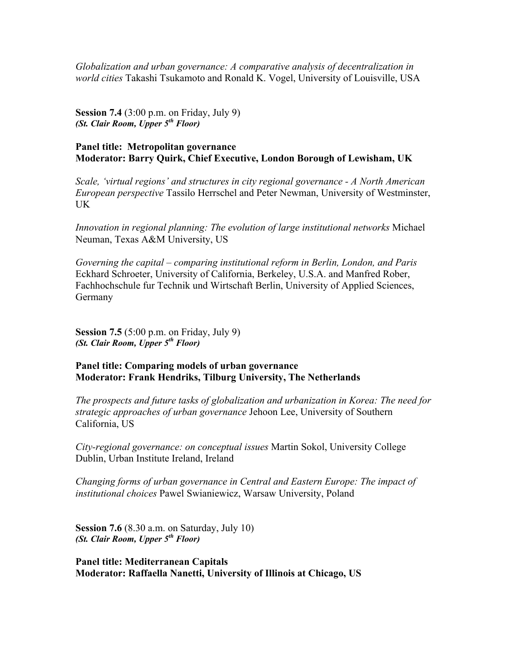*Globalization and urban governance: A comparative analysis of decentralization in world cities* Takashi Tsukamoto and Ronald K. Vogel, University of Louisville, USA

Session 7.4 (3:00 p.m. on Friday, July 9) *(St. Clair Room, Upper 5th Floor)*

#### Panel title: Metropolitan governance Moderator: Barry Quirk, Chief Executive, London Borough of Lewisham, UK

*Scale, 'virtual regions' and structures in city regional governance - A North American European perspective* Tassilo Herrschel and Peter Newman, University of Westminster, UK

*Innovation in regional planning: The evolution of large institutional networks* Michael Neuman, Texas A&M University, US

*Governing the capital – comparing institutional reform in Berlin, London, and Paris* Eckhard Schroeter, University of California, Berkeley, U.S.A. and Manfred Rober, Fachhochschule fur Technik und Wirtschaft Berlin, University of Applied Sciences, Germany

Session 7.5 (5:00 p.m. on Friday, July 9) *(St. Clair Room, Upper 5th Floor)*

#### Panel title: Comparing models of urban governance Moderator: Frank Hendriks, Tilburg University, The Netherlands

*The prospects and future tasks of globalization and urbanization in Korea: The need for strategic approaches of urban governance* Jehoon Lee, University of Southern California, US

*City-regional governance: on conceptual issues* Martin Sokol, University College Dublin, Urban Institute Ireland, Ireland

*Changing forms of urban governance in Central and Eastern Europe: The impact of institutional choices* Pawel Swianiewicz, Warsaw University, Poland

Session 7.6 (8.30 a.m. on Saturday, July 10) *(St. Clair Room, Upper 5th Floor)*

Panel title: Mediterranean Capitals Moderator: Raffaella Nanetti, University of Illinois at Chicago, US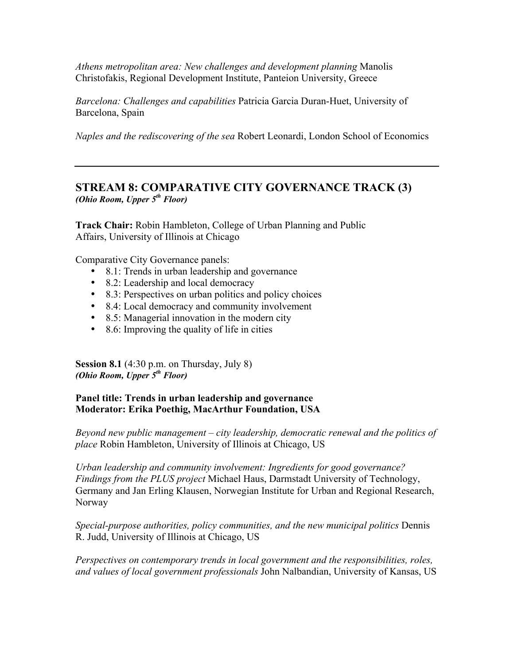*Athens metropolitan area: New challenges and development planning* Manolis Christofakis, Regional Development Institute, Panteion University, Greece

*Barcelona: Challenges and capabilities* Patricia Garcia Duran-Huet, University of Barcelona, Spain

*Naples and the rediscovering of the sea* Robert Leonardi, London School of Economics

### STREAM 8: COMPARATIVE CITY GOVERNANCE TRACK (3) *(Ohio Room, Upper 5th Floor)*

Track Chair: Robin Hambleton, College of Urban Planning and Public Affairs, University of Illinois at Chicago

Comparative City Governance panels:

- 8.1: Trends in urban leadership and governance
- 8.2: Leadership and local democracy
- 8.3: Perspectives on urban politics and policy choices
- 8.4: Local democracy and community involvement
- 8.5: Managerial innovation in the modern city
- 8.6: Improving the quality of life in cities

**Session 8.1** (4:30 p.m. on Thursday, July 8) *(Ohio Room, Upper 5th Floor)*

### Panel title: Trends in urban leadership and governance Moderator: Erika Poethig, MacArthur Foundation, USA

*Beyond new public management – city leadership, democratic renewal and the politics of place* Robin Hambleton, University of Illinois at Chicago, US

*Urban leadership and community involvement: Ingredients for good governance? Findings from the PLUS project* Michael Haus, Darmstadt University of Technology, Germany and Jan Erling Klausen, Norwegian Institute for Urban and Regional Research, Norway

*Special-purpose authorities, policy communities, and the new municipal politics* Dennis R. Judd, University of Illinois at Chicago, US

*Perspectives on contemporary trends in local government and the responsibilities, roles, and values of local government professionals* John Nalbandian, University of Kansas, US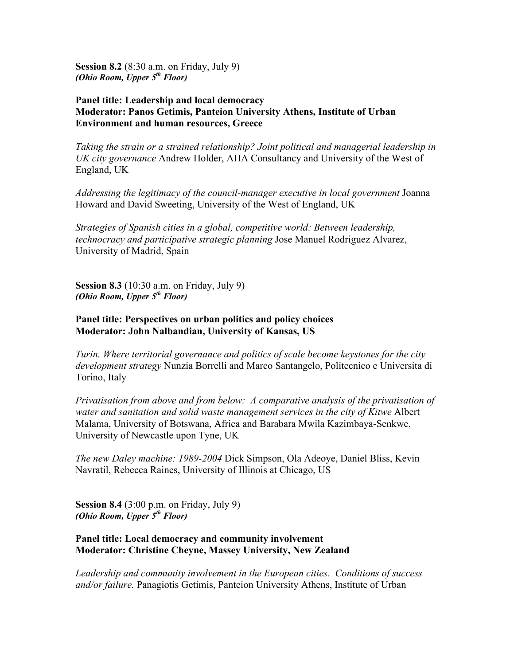Session 8.2 (8:30 a.m. on Friday, July 9) *(Ohio Room, Upper 5th Floor)*

#### Panel title: Leadership and local democracy Moderator: Panos Getimis, Panteion University Athens, Institute of Urban Environment and human resources, Greece

*Taking the strain or a strained relationship? Joint political and managerial leadership in UK city governance* Andrew Holder, AHA Consultancy and University of the West of England, UK

*Addressing the legitimacy of the council-manager executive in local government* Joanna Howard and David Sweeting, University of the West of England, UK

*Strategies of Spanish cities in a global, competitive world: Between leadership, technocracy and participative strategic planning* Jose Manuel Rodriguez Alvarez, University of Madrid, Spain

Session 8.3 (10:30 a.m. on Friday, July 9) *(Ohio Room, Upper 5th Floor)*

### Panel title: Perspectives on urban politics and policy choices Moderator: John Nalbandian, University of Kansas, US

*Turin. Where territorial governance and politics of scale become keystones for the city development strategy* Nunzia Borrelli and Marco Santangelo, Politecnico e Universita di Torino, Italy

*Privatisation from above and from below: A comparative analysis of the privatisation of water and sanitation and solid waste management services in the city of Kitwe* Albert Malama, University of Botswana, Africa and Barabara Mwila Kazimbaya-Senkwe, University of Newcastle upon Tyne, UK

*The new Daley machine: 1989-2004* Dick Simpson, Ola Adeoye, Daniel Bliss, Kevin Navratil, Rebecca Raines, University of Illinois at Chicago, US

Session 8.4 (3:00 p.m. on Friday, July 9) *(Ohio Room, Upper 5th Floor)*

#### Panel title: Local democracy and community involvement Moderator: Christine Cheyne, Massey University, New Zealand

*Leadership and community involvement in the European cities. Conditions of success and/or failure.* Panagiotis Getimis, Panteion University Athens, Institute of Urban